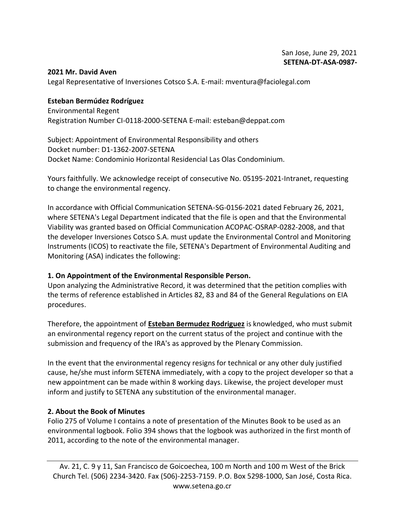#### **2021 Mr. David Aven**

Legal Representative of Inversiones Cotsco S.A. E-mail: mventura@faciolegal.com

**Esteban Bermúdez Rodríguez**  Environmental Regent Registration Number CI-0118-2000-SETENA E-mail: esteban@deppat.com

Subject: Appointment of Environmental Responsibility and others Docket number: D1-1362-2007-SETENA Docket Name: Condominio Horizontal Residencial Las Olas Condominium.

Yours faithfully. We acknowledge receipt of consecutive No. 05195-2021-Intranet, requesting to change the environmental regency.

In accordance with Official Communication SETENA-SG-0156-2021 dated February 26, 2021, where SETENA's Legal Department indicated that the file is open and that the Environmental Viability was granted based on Official Communication ACOPAC-OSRAP-0282-2008, and that the developer Inversiones Cotsco S.A. must update the Environmental Control and Monitoring Instruments (ICOS) to reactivate the file, SETENA's Department of Environmental Auditing and Monitoring (ASA) indicates the following:

#### **1. On Appointment of the Environmental Responsible Person.**

Upon analyzing the Administrative Record, it was determined that the petition complies with the terms of reference established in Articles 82, 83 and 84 of the General Regulations on EIA procedures.

Therefore, the appointment of **Esteban Bermudez Rodriguez** is knowledged, who must submit an environmental regency report on the current status of the project and continue with the submission and frequency of the IRA's as approved by the Plenary Commission.

In the event that the environmental regency resigns for technical or any other duly justified cause, he/she must inform SETENA immediately, with a copy to the project developer so that a new appointment can be made within 8 working days. Likewise, the project developer must inform and justify to SETENA any substitution of the environmental manager.

### **2. About the Book of Minutes**

Folio 275 of Volume I contains a note of presentation of the Minutes Book to be used as an environmental logbook. Folio 394 shows that the logbook was authorized in the first month of 2011, according to the note of the environmental manager.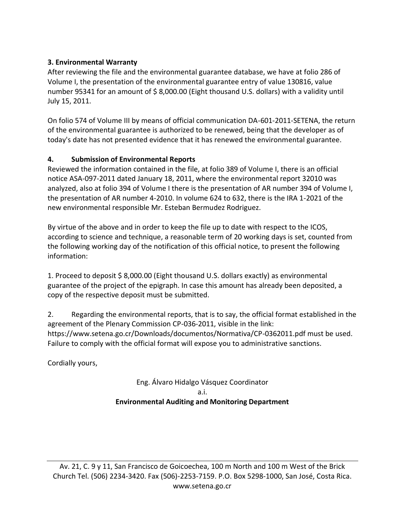## **3. Environmental Warranty**

After reviewing the file and the environmental guarantee database, we have at folio 286 of Volume I, the presentation of the environmental guarantee entry of value 130816, value number 95341 for an amount of \$ 8,000.00 (Eight thousand U.S. dollars) with a validity until July 15, 2011.

On folio 574 of Volume III by means of official communication DA-601-2011-SETENA, the return of the environmental guarantee is authorized to be renewed, being that the developer as of today's date has not presented evidence that it has renewed the environmental guarantee.

### **4. Submission of Environmental Reports**

Reviewed the information contained in the file, at folio 389 of Volume I, there is an official notice ASA-097-2011 dated January 18, 2011, where the environmental report 32010 was analyzed, also at folio 394 of Volume I there is the presentation of AR number 394 of Volume I, the presentation of AR number 4-2010. In volume 624 to 632, there is the IRA 1-2021 of the new environmental responsible Mr. Esteban Bermudez Rodriguez.

By virtue of the above and in order to keep the file up to date with respect to the ICOS, according to science and technique, a reasonable term of 20 working days is set, counted from the following working day of the notification of this official notice, to present the following information:

1. Proceed to deposit \$ 8,000.00 (Eight thousand U.S. dollars exactly) as environmental guarantee of the project of the epigraph. In case this amount has already been deposited, a copy of the respective deposit must be submitted.

2. Regarding the environmental reports, that is to say, the official format established in the agreement of the Plenary Commission CP-036-2011, visible in the link: https://www.setena.go.cr/Downloads/documentos/Normativa/CP-0362011.pdf must be used. Failure to comply with the official format will expose you to administrative sanctions.

Cordially yours,

# Eng. Álvaro Hidalgo Vásquez Coordinator a.i. **Environmental Auditing and Monitoring Department**